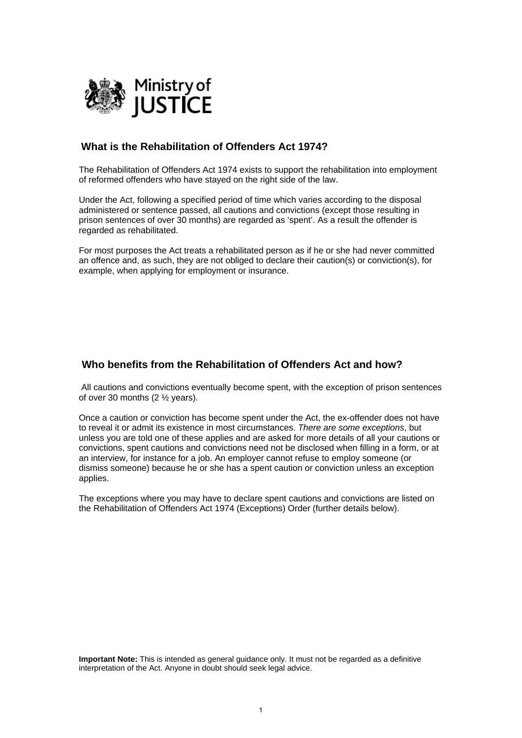

# **What is the Rehabilitation of Offenders Act 1974?**

of reformed offenders who have staved on the right side of the law. The Rehabilitation of Offenders Act 1974 exists to support the rehabilitation into employment

Under the Act, following a specified period of time which varies according to the disposal administered or sentence passed, all cautions and convictions (except those resulting in prison sentences of over 30 months) are regarded as 'spent'. As a result the offender is regarded as rehabilitated.

For most purposes the Act treats a rehabilitated person as if he or she had never committed an offence and, as such, they are not obliged to declare their caution(s) or conviction(s), for example, when applying for employment or insurance.

# **Who benefits from the Rehabilitation of Offenders Act and how?**

 All cautions and convictions eventually become spent, with the exception of prison sentences of over 30 months (2 ½ years).

Once a caution or conviction has become spent under the Act, the ex-offender does not have to reveal it or admit its existence in most circumstances. *There are some exceptions*, but unless you are told one of these applies and are asked for more details of all your cautions or convictions, spent cautions and convictions need not be disclosed when filling in a form, or at an interview, for instance for a job. An employer cannot refuse to employ someone (or dismiss someone) because he or she has a spent caution or conviction unless an exception applies.

The exceptions where you may have to declare spent cautions and convictions are listed on the Rehabilitation of Offenders Act 1974 (Exceptions) Order (further details below).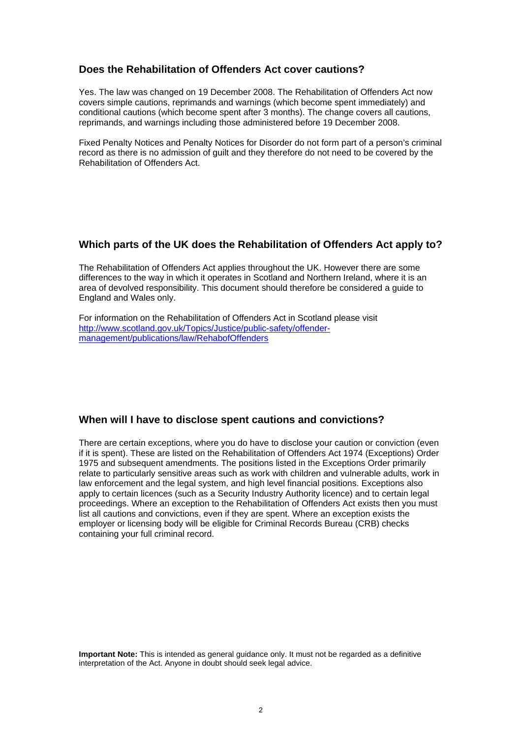## **Does the Rehabilitation of Offenders Act cover cautions?**

Yes. The law was changed on 19 December 2008. The Rehabilitation of Offenders Act now covers simple cautions, reprimands and warnings (which become spent immediately) and conditional cautions (which become spent after 3 months). The change covers all cautions, reprimands, and warnings including those administered before 19 December 2008.

Fixed Penalty Notices and Penalty Notices for Disorder do not form part of a person's criminal record as there is no admission of guilt and they therefore do not need to be covered by the Rehabilitation of Offenders Act.

## **Which parts of the UK does the Rehabilitation of Offenders Act apply to?**

The Rehabilitation of Offenders Act applies throughout the UK. However there are some differences to the way in which it operates in Scotland and Northern Ireland, where it is an area of devolved responsibility. This document should therefore be considered a guide to England and Wales only.

For information on the Rehabilitation of Offenders Act in Scotland please visit http://www.scotland.gov.uk/Topics/Justice/public-safety/offender[management/publications/law/RehabofOffenders](http://www.scotland.gov.uk/Topics/Justice/public-safety/offender-management/publications/law/RehabofOffenders) 

### **When will I have to disclose spent cautions and convictions?**

There are certain exceptions, where you do have to disclose your caution or conviction (even if it is spent). These are listed on the Rehabilitation of Offenders Act 1974 (Exceptions) Order 1975 and subsequent amendments. The positions listed in the Exceptions Order primarily relate to particularly sensitive areas such as work with children and vulnerable adults, work in law enforcement and the legal system, and high level financial positions. Exceptions also apply to certain licences (such as a Security Industry Authority licence) and to certain legal proceedings. Where an exception to the Rehabilitation of Offenders Act exists then you must list all cautions and convictions, even if they are spent. Where an exception exists the employer or licensing body will be eligible for Criminal Records Bureau (CRB) checks containing your full criminal record.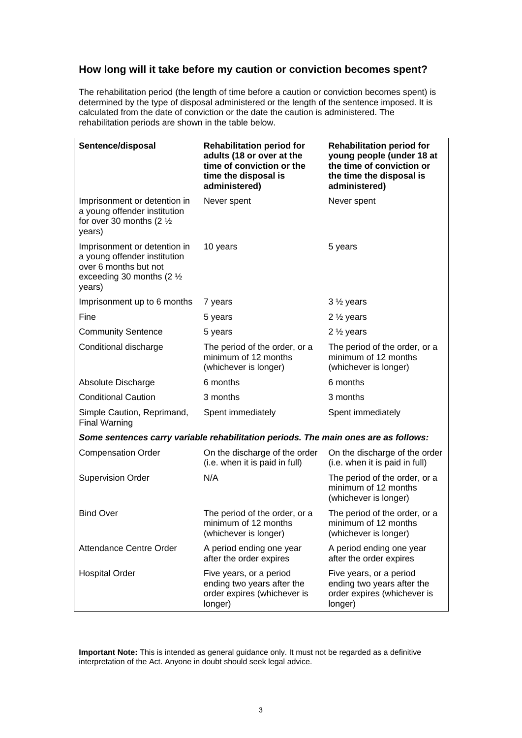# **How long will it take before my caution or conviction becomes spent?**

The rehabilitation period (the length of time before a caution or conviction becomes spent) is determined by the type of disposal administered or the length of the sentence imposed. It is calculated from the date of conviction or the date the caution is administered. The rehabilitation periods are shown in the table below.

| Sentence/disposal                                                                                                                        | <b>Rehabilitation period for</b><br>adults (18 or over at the<br>time of conviction or the<br>time the disposal is<br>administered) | <b>Rehabilitation period for</b><br>young people (under 18 at<br>the time of conviction or<br>the time the disposal is<br>administered) |
|------------------------------------------------------------------------------------------------------------------------------------------|-------------------------------------------------------------------------------------------------------------------------------------|-----------------------------------------------------------------------------------------------------------------------------------------|
| Imprisonment or detention in<br>a young offender institution<br>for over 30 months (2 $\frac{1}{2}$<br>years)                            | Never spent                                                                                                                         | Never spent                                                                                                                             |
| Imprisonment or detention in<br>a young offender institution<br>over 6 months but not<br>exceeding 30 months $(2 \frac{1}{2})$<br>years) | 10 years                                                                                                                            | 5 years                                                                                                                                 |
| Imprisonment up to 6 months                                                                                                              | 7 years                                                                                                                             | $3\frac{1}{2}$ years                                                                                                                    |
| Fine                                                                                                                                     | 5 years                                                                                                                             | $2\frac{1}{2}$ years                                                                                                                    |
| <b>Community Sentence</b>                                                                                                                | 5 years                                                                                                                             | 2 $\frac{1}{2}$ years                                                                                                                   |
| Conditional discharge                                                                                                                    | The period of the order, or a<br>minimum of 12 months<br>(whichever is longer)                                                      | The period of the order, or a<br>minimum of 12 months<br>(whichever is longer)                                                          |
| Absolute Discharge                                                                                                                       | 6 months                                                                                                                            | 6 months                                                                                                                                |
| <b>Conditional Caution</b>                                                                                                               | 3 months                                                                                                                            | 3 months                                                                                                                                |
| Simple Caution, Reprimand,<br><b>Final Warning</b>                                                                                       | Spent immediately                                                                                                                   | Spent immediately                                                                                                                       |
| Some sentences carry variable rehabilitation periods. The main ones are as follows:                                                      |                                                                                                                                     |                                                                                                                                         |
| <b>Compensation Order</b>                                                                                                                | On the discharge of the order<br>(i.e. when it is paid in full)                                                                     | On the discharge of the order<br>(i.e. when it is paid in full)                                                                         |
| <b>Supervision Order</b>                                                                                                                 | N/A                                                                                                                                 | The period of the order, or a<br>minimum of 12 months<br>(whichever is longer)                                                          |
| <b>Bind Over</b>                                                                                                                         | The period of the order, or a<br>minimum of 12 months<br>(whichever is longer)                                                      | The period of the order, or a<br>minimum of 12 months<br>(whichever is longer)                                                          |
| Attendance Centre Order                                                                                                                  | A period ending one year<br>after the order expires                                                                                 | A period ending one year<br>after the order expires                                                                                     |
| <b>Hospital Order</b>                                                                                                                    | Five years, or a period<br>ending two years after the<br>order expires (whichever is<br>longer)                                     | Five years, or a period<br>ending two years after the<br>order expires (whichever is<br>longer)                                         |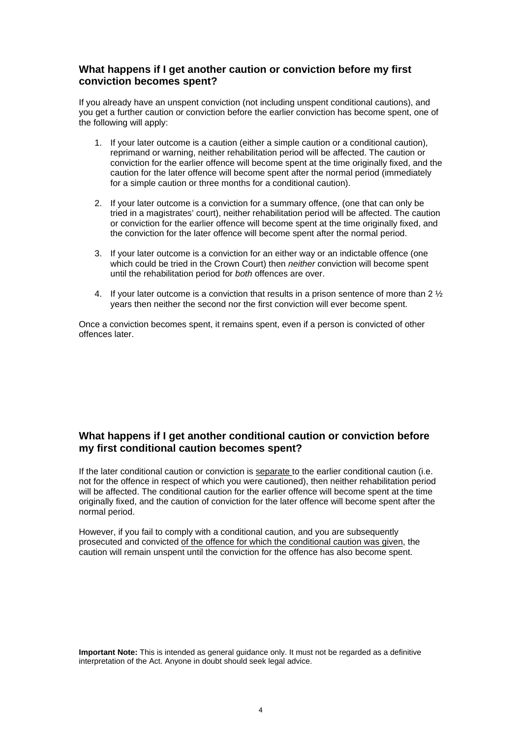## **What happens if I get another caution or conviction before my first conviction becomes spent?**

If you already have an unspent conviction (not including unspent conditional cautions), and you get a further caution or conviction before the earlier conviction has become spent, one of the following will apply:

- 1. If your later outcome is a caution (either a simple caution or a conditional caution), reprimand or warning, neither rehabilitation period will be affected. The caution or conviction for the earlier offence will become spent at the time originally fixed, and the caution for the later offence will become spent after the normal period (immediately for a simple caution or three months for a conditional caution).
- 2. If your later outcome is a conviction for a summary offence, (one that can only be tried in a magistrates' court), neither rehabilitation period will be affected. The caution or conviction for the earlier offence will become spent at the time originally fixed, and the conviction for the later offence will become spent after the normal period.
- 3. If your later outcome is a conviction for an either way or an indictable offence (one which could be tried in the Crown Court) then *neither* conviction will become spent until the rehabilitation period for *both* offences are over.
- 4. If your later outcome is a conviction that results in a prison sentence of more than 2 ½ years then neither the second nor the first conviction will ever become spent.

Once a conviction becomes spent, it remains spent, even if a person is convicted of other offences later.

# **What happens if I get another conditional caution or conviction before my first conditional caution becomes spent?**

normal period. If the later conditional caution or conviction is separate to the earlier conditional caution (i.e. not for the offence in respect of which you were cautioned), then neither rehabilitation period will be affected. The conditional caution for the earlier offence will become spent at the time originally fixed, and the caution of conviction for the later offence will become spent after the

However, if you fail to comply with a conditional caution, and you are subsequently prosecuted and convicted of the offence for which the conditional caution was given, the caution will remain unspent until the conviction for the offence has also become spent.